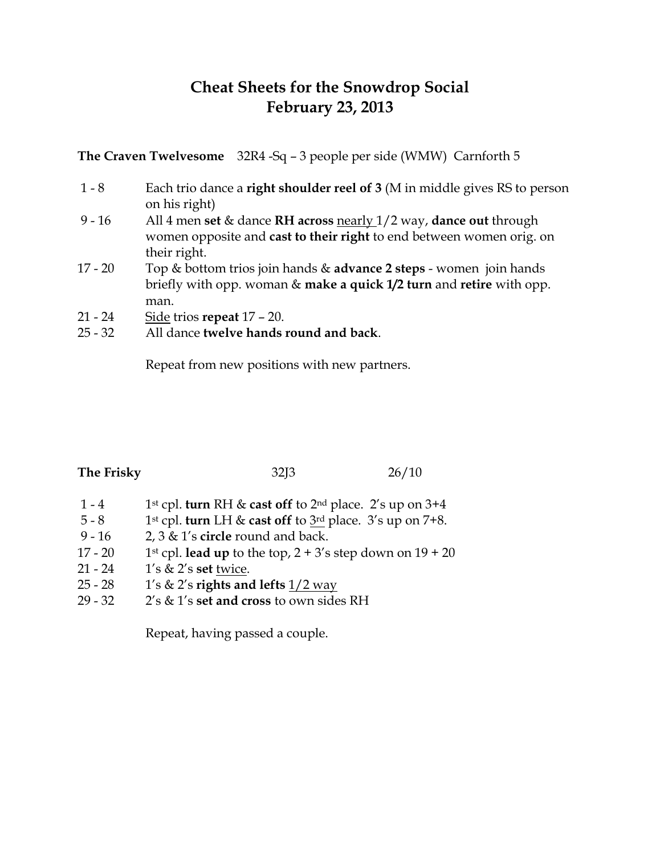## **Cheat Sheets for the Snowdrop Social February 23, 2013**

**The Craven Twelvesome** 32R4 -Sq – 3 people per side (WMW) Carnforth 5

- 1 8 Each trio dance a **right shoulder reel of 3** (M in middle gives RS to person on his right)
- 9 16 All 4 men **set** & dance **RH across** nearly 1/2 way, **dance out** through women opposite and **cast to their right** to end between women orig. on their right.
- 17 20 Top & bottom trios join hands & **advance 2 steps** women join hands briefly with opp. woman & **make a quick 1/2 turn** and **retire** with opp. man.
- 21 24 Side trios **repeat** 17 20.
- 25 32 All dance **twelve hands round and back**.

Repeat from new positions with new partners.

| The Friskv |
|------------|
|------------|

**The Frisky** 32J3 26/10

- 1 4 1st cpl. **turn** RH & **cast off** to 2nd place. 2's up on 3+4
- 5 8 1st cpl. **turn** LH & **cast off** to 3rd place. 3's up on 7+8.
- 9 16 2, 3 & 1's **circle** round and back.
- 17 20 1st cpl. **lead up** to the top,  $2 + 3$ 's step down on  $19 + 20$
- 21 24 1's & 2's **set** twice.
- 25 28 1's & 2's **rights and lefts** 1/2 way
- 29 32 2's & 1's **set and cross** to own sides RH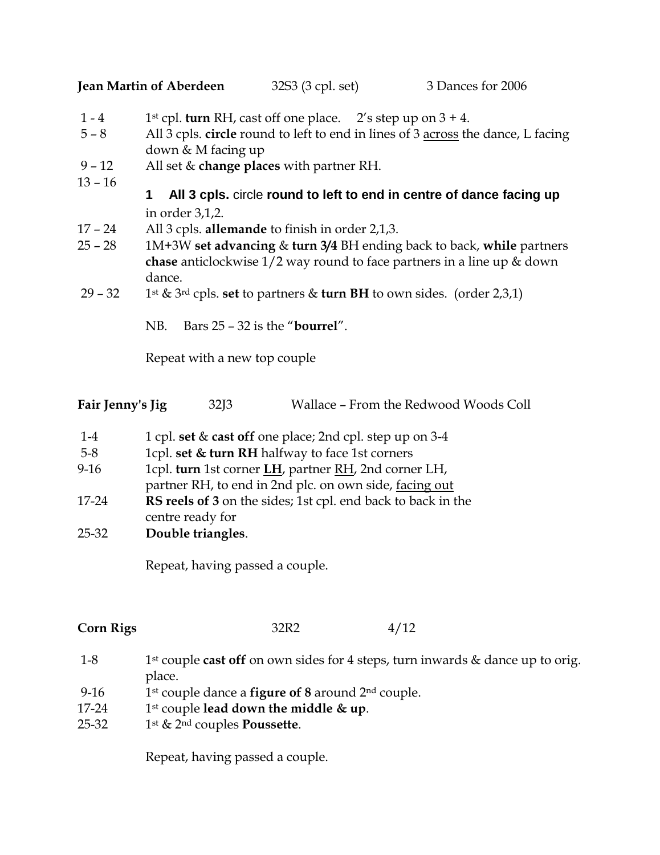**Jean Martin of Aberdeen** 32S3 (3 cpl. set) 3 Dances for 2006

- 1 4 1st cpl. **turn** RH, cast off one place. 2's step up on  $3 + 4$ .
- 5 8 All 3 cpls. **circle** round to left to end in lines of 3 across the dance, L facing down & M facing up
- 9 12 All set & **change places** with partner RH.
- $13 16$

## **1 All 3 cpls.** circle **round to left to end in centre of dance facing up**  in order 3,1,2.

- 17 24 All 3 cpls. **allemande** to finish in order 2,1,3.
- 25 28 1M+3W **set advancing** & **turn 3/4** BH ending back to back, **while** partners **chase** anticlockwise 1/2 way round to face partners in a line up & down dance.
- 29 32 1st & 3rd cpls. **set** to partners & **turn BH** to own sides. (order 2,3,1)

NB. Bars 25 – 32 is the "**bourrel**".

Repeat with a new top couple

| Fair Jenny's Jig | 32J3 | Wallace - From the Redwood Woods Coll |  |  |  |
|------------------|------|---------------------------------------|--|--|--|
|                  |      |                                       |  |  |  |

- 1-4 1 cpl. **set** & **cast off** one place; 2nd cpl. step up on 3-4
- 5-8 1cpl. **set & turn RH** halfway to face 1st corners
- 9-16 1cpl. **turn** 1st corner **LH**, partner RH, 2nd corner LH, partner RH, to end in 2nd plc. on own side, facing out
- 17-24 **RS reels of 3** on the sides; 1st cpl. end back to back in the centre ready for
- 25-32 **Double triangles**.

Repeat, having passed a couple.

**Corn Rigs** 32R2 4/12

- 1-8 1st couple **cast off** on own sides for 4 steps, turn inwards & dance up to orig. place.
- 9-16 1st couple dance a **figure of 8** around 2nd couple.
- 17-24 1st couple **lead down the middle & up**.
- 25-32 1st & 2nd couples **Poussette**.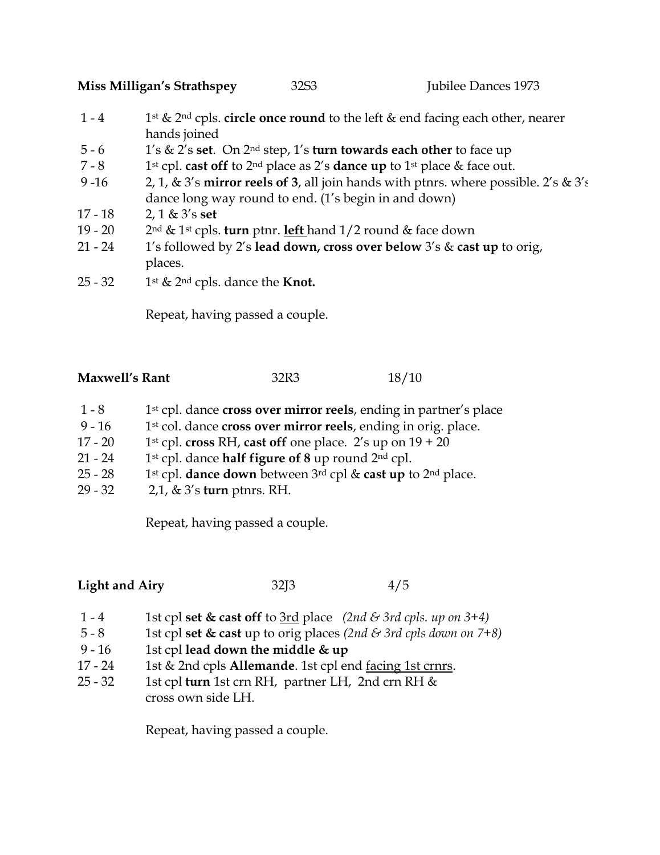**Miss Milligan's Strathspey** 32S3 Jubilee Dances 1973

- 1 4 1st & 2nd cpls. **circle once round** to the left & end facing each other, nearer hands joined
- 5 6 1's & 2's **set**. On 2nd step, 1's **turn towards each other** to face up
- 7 8 1st cpl. **cast off** to 2nd place as 2's **dance up** to 1st place & face out.
- 9 -16 2, 1, & 3's **mirror reels of 3**, all join hands with ptnrs. where possible. 2's & 3's dance long way round to end. (1's begin in and down)
- 17 18 2, 1 & 3's **set**
- 19 20 2nd & 1st cpls. **turn** ptnr. **left** hand 1/2 round & face down
- 21 24 1's followed by 2's **lead down, cross over below** 3's & **cast up** to orig, places.
- $25 32$  1st & 2<sup>nd</sup> cpls. dance the **Knot.**

Repeat, having passed a couple.

| <b>Maxwell's Rant</b> | 32R3 | 18/10 |
|-----------------------|------|-------|
|-----------------------|------|-------|

- 1 8 1st cpl. dance **cross over mirror reels**, ending in partner's place
- 9 16 1st col. dance **cross over mirror reels**, ending in orig. place.
- 17 20 1st cpl. **cross** RH, **cast off** one place. 2's up on  $19 + 20$
- 21 24 1st cpl. dance **half figure of 8** up round 2nd cpl.
- 25 28 1st cpl. **dance down** between 3rd cpl & **cast up** to 2nd place.
- 29 32 2,1, & 3's **turn** ptnrs. RH.

Repeat, having passed a couple.

**Light and Airy** 32J3 4/5

- 1 4 1st cpl **set & cast off** to 3rd place *(2nd & 3rd cpls. up on 3+4)*
- 5 8 1st cpl **set & cast** up to orig places *(2nd & 3rd cpls down on 7+8)*
- 9 16 1st cpl **lead down the middle & up**
- 17 24 1st & 2nd cpls **Allemande**. 1st cpl end <u>facing 1st crnrs</u>.
- 25 32 1st cpl **turn** 1st crn RH, partner LH, 2nd crn RH & cross own side LH.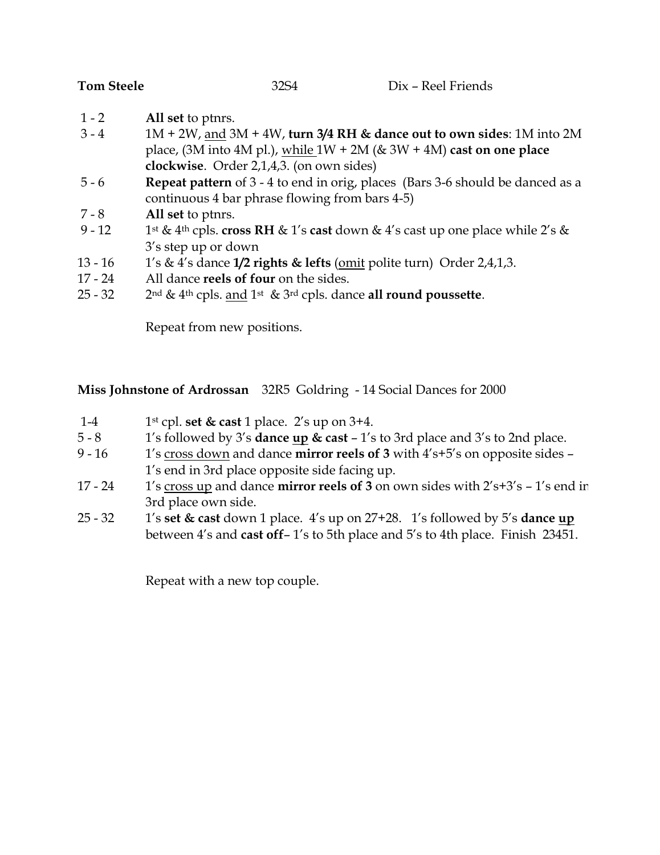- 1 2 **All set** to ptnrs.
- 3 4 1M + 2W, and 3M + 4W, **turn 3/4 RH & dance out to own sides**: 1M into 2M place, (3M into 4M pl.), while 1W + 2M (& 3W + 4M) **cast on one place clockwise**. Order 2,1,4,3. (on own sides)
- 5 6 **Repeat pattern** of 3 4 to end in orig, places (Bars 3-6 should be danced as a continuous 4 bar phrase flowing from bars 4-5)
- 7 8 **All set** to ptnrs.
- 9 12 1st & 4th cpls. **cross RH** & 1's **cast** down & 4's cast up one place while 2's & 3's step up or down
- 13 16 1's & 4's dance **1/2 rights & lefts** (omit polite turn) Order 2,4,1,3.
- 17 24 All dance **reels of four** on the sides.
- 25 32 2nd & 4th cpls. and 1st & 3rd cpls. dance **all round poussette**.

Repeat from new positions.

**Miss Johnstone of Ardrossan** 32R5 Goldring - 14 Social Dances for 2000

- 1-4 1st cpl. **set & cast** 1 place. 2's up on 3+4.
- 5 8 1's followed by 3's **dance up & cast** 1's to 3rd place and 3's to 2nd place.
- 9 16 1's cross down and dance **mirror reels of 3** with 4's+5's on opposite sides 1's end in 3rd place opposite side facing up.
- 17 24 1's cross up and dance **mirror reels of 3** on own sides with 2's+3's 1's end in 3rd place own side.
- 25 32 1's **set & cast** down 1 place. 4's up on 27+28. 1's followed by 5's **dance up** between 4's and **cast off**– 1's to 5th place and 5's to 4th place. Finish 23451.

Repeat with a new top couple.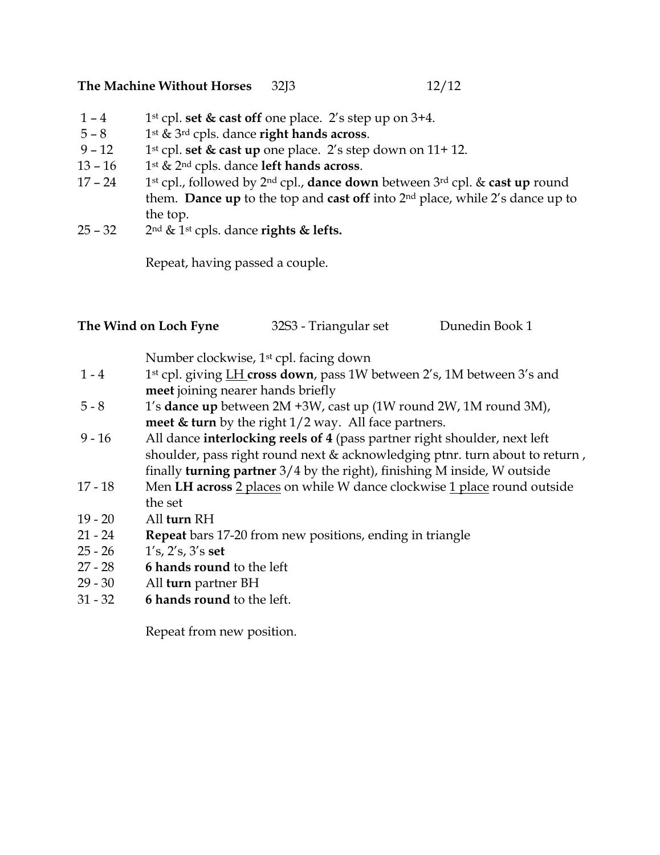## **The Machine Without Horses** 32J3 12/12

- 1 4 1st cpl. **set & cast off** one place. 2's step up on 3+4.
- $5 8$  1st & 3<sup>rd</sup> cpls. dance **right hands across**.
- 9 12 1st cpl. **set & cast up** one place. 2's step down on  $11+12$ .
- 13 16 1st & 2nd cpls. dance **left hands across**.
- 17 24 1st cpl., followed by 2nd cpl., **dance down** between 3rd cpl. & **cast up** round them. **Dance up** to the top and **cast off** into 2nd place, while 2's dance up to the top.
- 25 32 2nd & 1st cpls. dance **rights & lefts.**

Repeat, having passed a couple.

|  | The Wind on Loch Fyne | 32S3 - Triangular set | Dunedin Book 1 |
|--|-----------------------|-----------------------|----------------|
|--|-----------------------|-----------------------|----------------|

Number clockwise, 1st cpl. facing down

- 1 4 1st cpl. giving LH **cross down**, pass 1W between 2's, 1M between 3's and **meet** joining nearer hands briefly
- 5 8 1's **dance up** between 2M +3W, cast up (1W round 2W, 1M round 3M), **meet & turn** by the right 1/2 way. All face partners.
- 9 16 All dance **interlocking reels of 4** (pass partner right shoulder, next left shoulder, pass right round next & acknowledging ptnr. turn about to return , finally **turning partner** 3/4 by the right), finishing M inside, W outside
- 17 18 Men **LH across** 2 places on while W dance clockwise 1 place round outside the set
- 19 20 All **turn** RH
- 21 24 **Repeat** bars 17-20 from new positions, ending in triangle
- 25 26 1's, 2's, 3's **set**
- 27 28 **6 hands round** to the left
- 29 30 All **turn** partner BH
- 31 32 **6 hands round** to the left.

Repeat from new position.